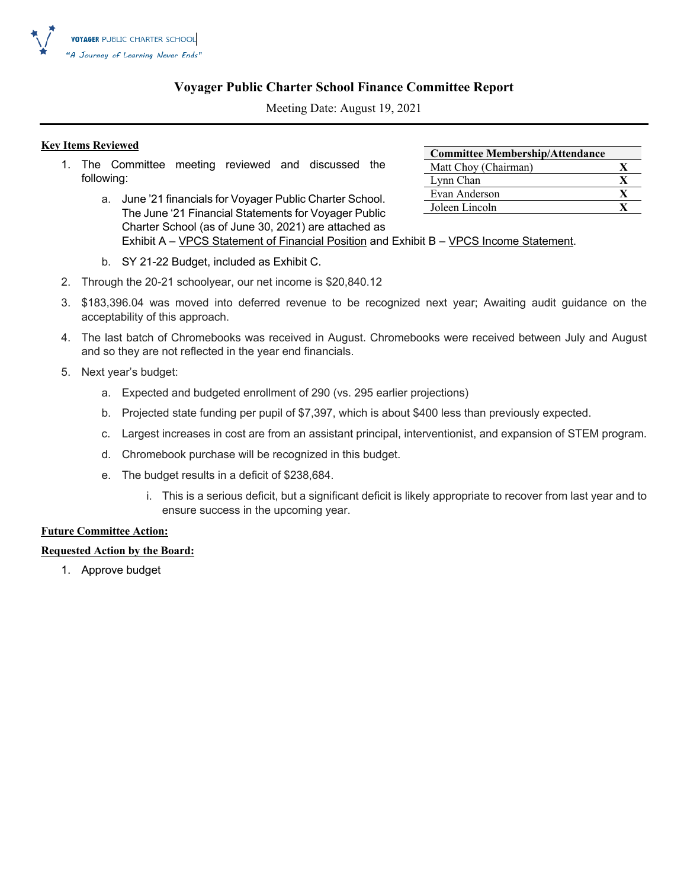

### **Voyager Public Charter School Finance Committee Report**

Meeting Date: August 19, 2021

### **Key Items Reviewed**

- 1. The Committee meeting reviewed and discussed the following:
	- a. June '21 financials for Voyager Public Charter School. The June '21 Financial Statements for Voyager Public Charter School (as of June 30, 2021) are attached as Exhibit A – VPCS Statement of Financial Position and Exhibit B – VPCS Income Statement.
	- b. SY 21-22 Budget, included as Exhibit C.
- 2. Through the 20-21 schoolyear, our net income is \$20,840.12
- 3. \$183,396.04 was moved into deferred revenue to be recognized next year; Awaiting audit guidance on the acceptability of this approach.
- 4. The last batch of Chromebooks was received in August. Chromebooks were received between July and August and so they are not reflected in the year end financials.
- 5. Next year's budget:
	- a. Expected and budgeted enrollment of 290 (vs. 295 earlier projections)
	- b. Projected state funding per pupil of \$7,397, which is about \$400 less than previously expected.
	- c. Largest increases in cost are from an assistant principal, interventionist, and expansion of STEM program.
	- d. Chromebook purchase will be recognized in this budget.
	- e. The budget results in a deficit of \$238,684.
		- i. This is a serious deficit, but a significant deficit is likely appropriate to recover from last year and to ensure success in the upcoming year.

### **Future Committee Action:**

### **Requested Action by the Board:**

1. Approve budget

| <b>Committee Membership/Attendance</b> |  |
|----------------------------------------|--|
| Matt Choy (Chairman)                   |  |
| Lynn Chan                              |  |
| Evan Anderson                          |  |
| Joleen Lincoln                         |  |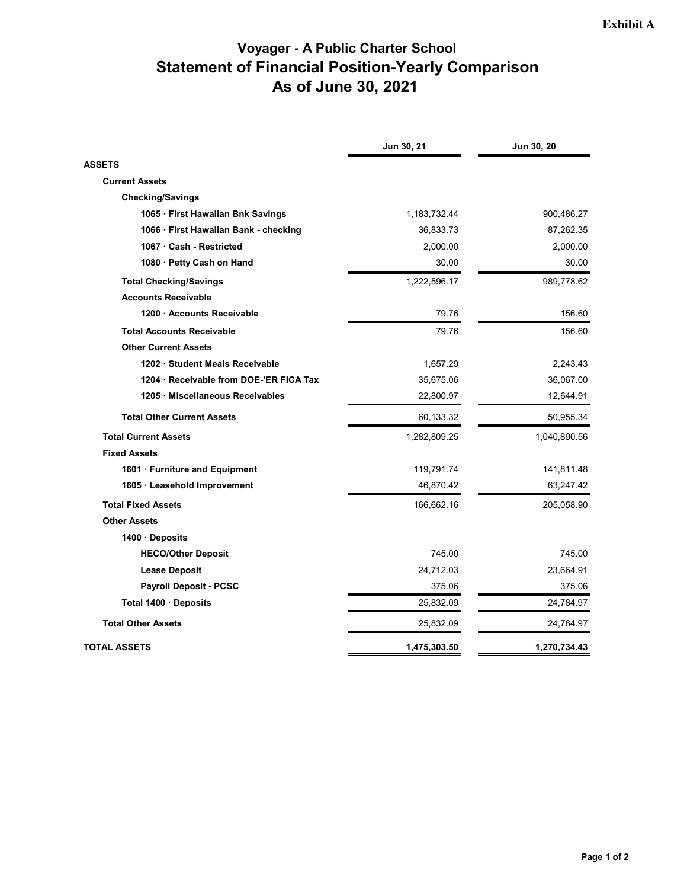### **Voyager - A Public Charter School Statement of Financial Position-Yearly Comparison As of June 30, 2021**

|                                       | Jun 30, 21   | Jun 30, 20   |
|---------------------------------------|--------------|--------------|
| <b>ASSETS</b>                         |              |              |
| <b>Current Assets</b>                 |              |              |
| <b>Checking/Savings</b>               |              |              |
| 1065 · First Hawaiian Bnk Savings     | 1,183,732.44 | 900,486.27   |
| 1066 · First Hawaiian Bank - checking | 36,833.73    | 87,262.35    |
| 1067 Cash - Restricted                | 2,000.00     | 2,000.00     |
| 1080 · Petty Cash on Hand             | 30.00        | 30.00        |
| <b>Total Checking/Savings</b>         | 1,222,596.17 | 989,778.62   |
| <b>Accounts Receivable</b>            |              |              |
| 1200 Accounts Receivable              | 79.76        | 156.60       |
| <b>Total Accounts Receivable</b>      | 79.76        | 156.60       |
| <b>Other Current Assets</b>           |              |              |
| 1202 · Student Meals Receivable       | 1,657.29     | 2,243.43     |
| 1204 Receivable from DOE-'ER FICA Tax | 35,675.06    | 36,067.00    |
| 1205 Miscellaneous Receivables        | 22,800.97    | 12,644.91    |
| <b>Total Other Current Assets</b>     | 60,133.32    | 50,955.34    |
| <b>Total Current Assets</b>           | 1,282,809.25 | 1,040,890.56 |
| <b>Fixed Assets</b>                   |              |              |
| 1601 · Furniture and Equipment        | 119,791.74   | 141,811.48   |
| 1605 · Leasehold Improvement          | 46,870.42    | 63,247.42    |
| <b>Total Fixed Assets</b>             | 166,662.16   | 205,058.90   |
| <b>Other Assets</b>                   |              |              |
| 1400 Deposits                         |              |              |
| <b>HECO/Other Deposit</b>             | 745.00       | 745.00       |
| <b>Lease Deposit</b>                  | 24,712.03    | 23,664.91    |
| <b>Payroll Deposit - PCSC</b>         | 375.06       | 375.06       |
| Total 1400 · Deposits                 | 25,832.09    | 24,784.97    |
| <b>Total Other Assets</b>             | 25,832.09    | 24,784.97    |
| TOTAL ASSETS                          | 1,475,303.50 | 1,270,734.43 |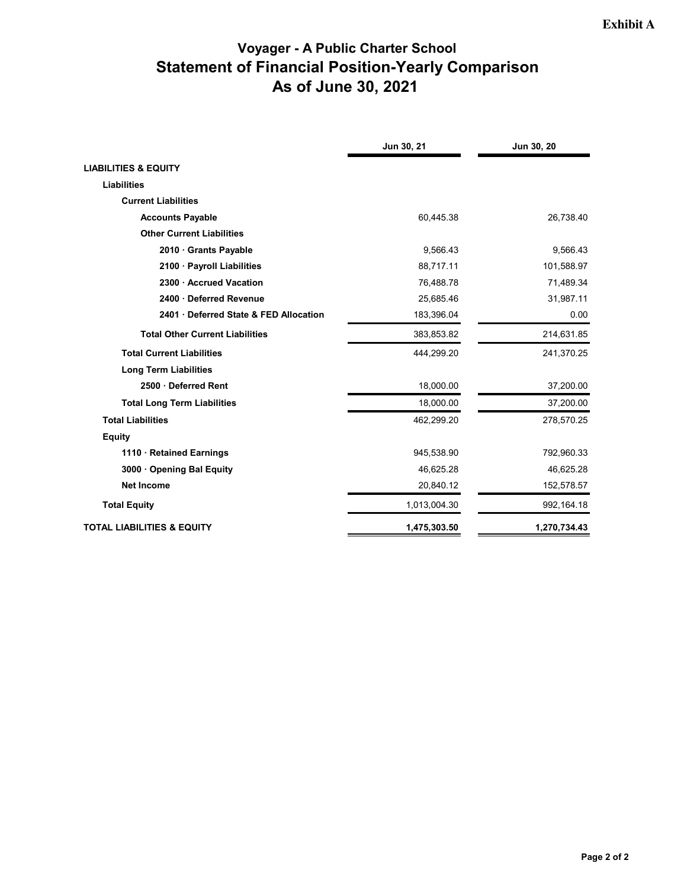### **Voyager - A Public Charter School Statement of Financial Position-Yearly Comparison As of June 30, 2021**

|                                        | Jun 30, 21   | Jun 30, 20   |
|----------------------------------------|--------------|--------------|
| <b>LIABILITIES &amp; EQUITY</b>        |              |              |
| <b>Liabilities</b>                     |              |              |
| <b>Current Liabilities</b>             |              |              |
| <b>Accounts Payable</b>                | 60,445.38    | 26,738.40    |
| <b>Other Current Liabilities</b>       |              |              |
| 2010 Grants Payable                    | 9,566.43     | 9,566.43     |
| 2100 · Payroll Liabilities             | 88,717.11    | 101,588.97   |
| 2300 Accrued Vacation                  | 76,488.78    | 71,489.34    |
| 2400 Deferred Revenue                  | 25,685.46    | 31,987.11    |
| 2401 Deferred State & FED Allocation   | 183,396.04   | 0.00         |
| <b>Total Other Current Liabilities</b> | 383,853.82   | 214,631.85   |
| <b>Total Current Liabilities</b>       | 444,299.20   | 241,370.25   |
| <b>Long Term Liabilities</b>           |              |              |
| 2500 Deferred Rent                     | 18,000.00    | 37,200.00    |
| <b>Total Long Term Liabilities</b>     | 18,000.00    | 37,200.00    |
| <b>Total Liabilities</b>               | 462,299.20   | 278,570.25   |
| <b>Equity</b>                          |              |              |
| 1110 · Retained Earnings               | 945,538.90   | 792,960.33   |
| 3000 Opening Bal Equity                | 46,625.28    | 46,625.28    |
| <b>Net Income</b>                      | 20,840.12    | 152,578.57   |
| <b>Total Equity</b>                    | 1,013,004.30 | 992,164.18   |
| <b>TOTAL LIABILITIES &amp; EQUITY</b>  | 1,475,303.50 | 1,270,734.43 |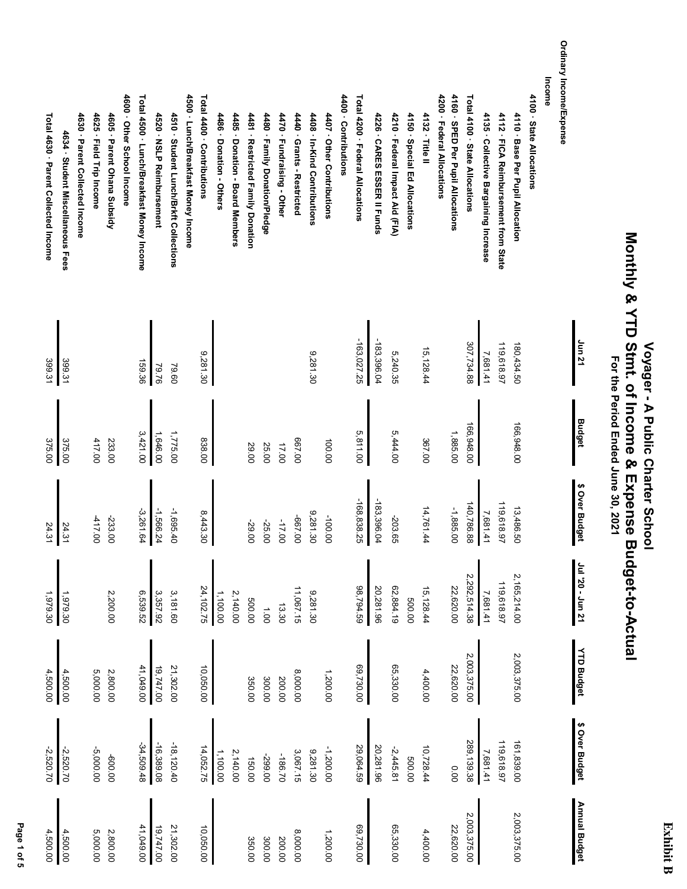### **Exhibit B Exhibit B**

# **Monthly & YTD Stmt. of Income & Expense Budget-to-Actual** Monthly & YTD Stmt. of Income & Expense Budget-to-Actual  **Voyager - A Public Charter School** Voyager - A Public Charter School

 **For the Period Ended June 30, 2021**

For the Period Ended June 30, 2021

Ordinary Income/Expense **Ordinary Income/Expense Income** 4160 · SPED Per Pupil Allocations Total 4100 State Allocations 4600 · Other School Income Total 4500 · Lunch/Breakfast Money Income 4500 · Lunch/Breakfast Money Income Total 4400 · Contributions 4400 - Contributions Total 4200 · Federal Allocations 4200 · Federal Allocations 4100 · State Allocations **4600 · Other School Income Total 4500 · Lunch/Breakfast Money Income 4500 · Lunch/Breakfast Money Income Total 4400 · Contributions 4400 · Contributions Total 4200 · Federal Allocations 4200 · Federal Allocations 4160 · SPED Per Pupil Allocations Total 4100 · State Allocations 4100 · State Allocations** 4630 - Parent Collected Income 4625 · Field Trip Income 4605 · Parent Ohana Subsidy 4520 · NSLP Reimbursement 4510 · Student Lunch/Brkft Collections 4470 · Fundraising - Other 4407 - Other Contributions 4226 · CARES ESSER II Funds 4150 · Special Ed Allocations 4132 · Title II 4135 · Collective Bargaining Increase 4112 · FICA Reimbursement from State 4110 · Base Per Pupil Allocation Total 4630 · Parent Collected Income **Total 4630 · Parent Collected Income 4630 · Parent Collected Income 4625 · Field Trip Income 4605 · Parent Ohana Subsidy 4520 · NSLP Reimbursement 4510 · Student Lunch/Brkft Collections** 4486 Donation - Others **4486 · Donation - Others** 4485 · Donation - Board Members **4485 · Donation - Board Members** 4481 · Restricted Family Donation **4481 · Restricted Family Donation** 4480 · Family Donation/Pledge **4480 · Family Donation/Pledge 4470 · Fundraising - Other** 4440 - Grants - Restricted **4440 · Grants - Restricted** 4408 - In-Kind Contributions **4408 · In-Kind Contributions 4407 · Other Contributions 4226 · CARES ESSER II Funds** 4210 · Federal Impact Aid (FIA) **4210 · Federal Impact Aid (FIA) 4150 · Special Ed Allocations 4132 · Title II 4135 · Collective Bargaining Increase 4112 · FICA Reimbursement from State 4110 · Base Per Pupil Allocation** 4634 · Student Miscellaneous Fees **4634 · Student Miscellaneous Fees Jun 21**  $-183,396.04$  $-163,027.25$ -163,027.25 -183,396.04 307,734.88 119,618.97 307,734.88 119,618.97 180,434.50 180,434.50 15,128.44 7,681.41 15,128.44 9,281.30 5,240.35 9,281.30 399.31 399.31 159.36 79.76 79.60 **Budget** 166,948.00 166,948.00 166,948.00 166,948.00 5,811.00 3,421.00 1,646.00 1,775.00 5,444.00 1,885.00 838.00 375.00 375.00 417.00 233.00 367.00 667.00 100.00 17.00 29.00 25.00 \$ Over Budget **\$ Over Budget** -168,838.25 -168,838.25  $-183,396.04$ -183,396.04 119,618.97 140,786.88 140,786.88 119,618.97 13,486.50 14,761.44 -1,885.00 7,681.41 -3,261.64 -1,566.24 -1,695.40 14,761.44 13,486.50 8,443.30 9,281.30 -417.00 -100.00 -233.00 -667.00 -203.65 -29.00 -25.00 -17.00 24.31 24.31 10 unr - 02, Inr **Jul '20 - Jun 21** 2,165,214.00 2,292,514.38 2,292,514.38 2,165,214.00 119,618.97 119,618.97 98,794.59 62,884.19 24, 102.75 11,067.15 20,281.96 15,128.44 22,620.00 6,539.52 3,357.92 24,102.75 11,067.15 9,281.30 98,794.59 20,281.96 62,884.19 22,620.00 7,681.41 3,181.60 1,979.30 2,200.00 1,100.00 2,140.00 1,979.30 500.00 500.00 13.30 1.00 **YTD Budget YTD Budget** 2,003,375.00 2,003,375.00 2,003,375.00 2,003,375.00 10,050.00 41,049.00 19,747.00 21,302.00 8,000.00 69,730.00 65,330.00 22,620.00 41,049.00 21,302.00 1,200.00 69,730.00 65,330.00 22,620.00 4,500.00 4,500.00 5,000.00 2,800.00 4,400.00 350.00 300.00 200.00 \$ Over Budget **\$ Over Budget** 119,618.97 -34,509.48  $-18, 120.40$ 289, 139.38 161,839.00  $-16,389.08$ 289,139.38 119,618.97 161,839.00 -2,520.70 -34,509.48 -16,389.08 -18,120.40 -2,520.70 14,052.75 9,281.30 29,064.59 20,281.96 10,728.44 -5,000.00 14,052.75 -1,200.00 29,064.59 20,281.96 1,100.00 2,140.00 3,067.15 -2,445.81 7,681.41 -186.70 -600.00 -299.00 150.00 500.00 0.00 **Annual Budget Annual Budget** 2,003,375.00 2,003,375.00 2,003,375.00 2,003,375.00 41,049.00  $19,747.00$ 21,302.00 10,050.00 69,730.00 65,330.00 22,620.00 4,500.00 41,049.00 19,747.00 21,302.00 69,730.00 65,330.00 22,620.00 4,500.00 5,000.00 2,800.00 4,400.00 8,000.00 1,200.00 350.00 300.00 200.00

 **Page 1 of 5** Page 1 of 5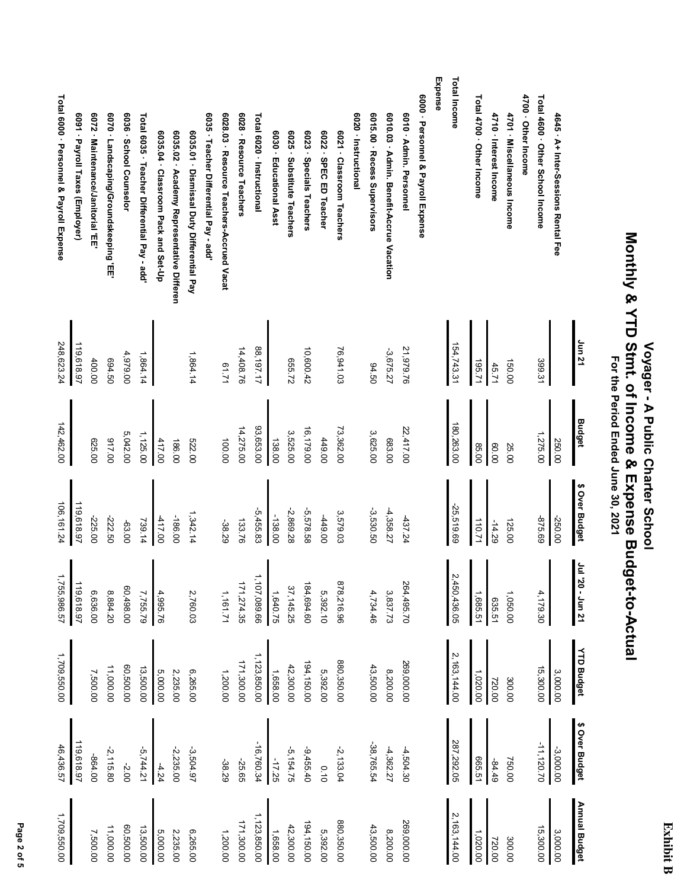# Voyager - A Public Charter School<br>Monthly & YTD Stmt. of Income & Expense Budget-to-Actual<br>For the Period Ended June 30, 2021  **Monthly & YTD Stmt. of Income & Expense Budget-to-Actual Voyager - A Public Charter School For the Period Ended June 30, 2021**

|                                          |                                 |                                   |                                        |                         |                                             |                                     |                                           |                                           |                                       |                                           |                          |                            |                         |                            |                          |                        |                           |                      |                              |                                          |                         |                                    | Expense | <b>Total Income</b>          |                           |                        |                             |                     |                                  |                                     |                                     |
|------------------------------------------|---------------------------------|-----------------------------------|----------------------------------------|-------------------------|---------------------------------------------|-------------------------------------|-------------------------------------------|-------------------------------------------|---------------------------------------|-------------------------------------------|--------------------------|----------------------------|-------------------------|----------------------------|--------------------------|------------------------|---------------------------|----------------------|------------------------------|------------------------------------------|-------------------------|------------------------------------|---------|------------------------------|---------------------------|------------------------|-----------------------------|---------------------|----------------------------------|-------------------------------------|-------------------------------------|
| Total 6000 · Personnel & Payroll Expense | 6091 · Payroll Taxes (Employer) | 6072 · Maintenance/Janitorial 'EE | 6070 · Landscaping/Groundskeeping 'EE' | 6036 · School Counselor | Total 6035 · Teacher Differential Pay - add | 6035.04 · Classroom Pack and Set-Up | 6035.02 · Academy Representative Differen | 6035.01 · Dismissal Duty Differential Pay | 6035 · Teacher Differential Pay - add | 6028.03 · Resource Teachers-Accrued Vacat | 6028 · Resource Teachers | Total 6020 · Instructional | 6030 · Educational Asst | 6025 · Substitute Teachers | 6023 · Specials Teachers | 6022 · SPEC ED Teacher | 6021 · Classroom Teachers | 6020 · Instructional | 6015.00 · Recess Supervisors | 6010.03 · Admin. Benefit-Accrue Vacation | 6010 · Admin. Personnel | 6000 · Personnel & Payroll Expense |         |                              | Total 4700 · Other Income | 4710 · Interest Income | 4701 · Miscellaneous Income | 4700 - Other Income | Total 4600 · Other School Income | 4645 · A+ Inter-Sessions Rental Fee |                                     |
| 248,623.24                               | 119,618.97                      | 400.00                            | 694.50                                 | 4,979.00                | 1,864.14                                    |                                     |                                           | 1,864.14                                  |                                       | 1219                                      | 14,408.76                | 88,197.17                  |                         | 655.72                     | 10,600.42                |                        | 76,941.03                 |                      | 94.50                        | -3,675.27                                | 21,979.76               |                                    |         | 154,743.31                   | 195.71                    | 45.71                  | 150.00                      |                     | 399.31                           |                                     | Jun 21                              |
| 142,462.00                               |                                 | 625.00                            | 017.00                                 | 5,042.00                | 1,125.00                                    | 417.00                              | 186.00                                    | 522.00                                    |                                       | 100.00                                    | 14,275.00                | 93,653.00                  | 138.00                  | 3,525.00                   | 16,179.00                | 449.00                 | 73,362.00                 |                      | 3,625.00                     | 683.00                                   | 22,417.00               |                                    |         | 180,263.00                   | 85.00                     | 00.08                  | 25.00                       |                     | 1,275.00                         | 250.00                              | Budget                              |
| 106,161.24                               | 119,618.97                      | -225.00                           | -222.50                                | -63.00                  | 739.14                                      | 417.00                              | -186.00                                   | 1,342.14                                  |                                       | -38.29                                    | 133.76                   | $-5,455.83$                | $-138.00$               | -2,869.28                  | -5,578.58                | 00'617                 | 3,579.03                  |                      | -3,530.50                    | 4,358.27                                 | 437.24                  |                                    |         | 25,519.69                    | 110.71                    | $-14.29$               | 125.00                      |                     | -875.69                          | -250.00                             | \$ Over Budget                      |
| 1,755,986.57                             | 119,618.97                      | 6,636.00                          | 8,884.20                               | 60,498.00               | 7,755.79                                    | 4,995.76                            |                                           | 2,760.03                                  |                                       | 1,161.71                                  | 171,274.35               | ,107,089.66                | 1,640.75                | 37,145.25                  | 184,694.60               | 5,392.10               | 878,216.96                |                      | 4,734.46                     | 3,837.73                                 | 264,495.70              |                                    |         | $\overline{v}$<br>450,436.05 | 1,685.51                  | 635.51                 | 1,050.00                    |                     | 4,179.30                         |                                     | $\tilde{\mathbf{z}}$<br>20 - Jun 21 |
| 1,709,550.00                             |                                 | 7,500.00                          | 11,000.00                              | 60,500.00               | 13,500.00                                   | 5,000.00                            | 2,235.00                                  | 6,265.00                                  |                                       | 1,200.00                                  | 171,300.00               | 1,123,850.00               | 1,658.00                | 42,300.00                  | 194,150.00               | 5,392.00               | 880,350.00                |                      | 43,500.00                    | 8,200.00                                 | 269,000.00              |                                    |         | 2,163,144.00                 | 1,020.00                  | 720.00                 | 300.00                      |                     | 15,300.00                        | 3,000.00                            | <b>YTD Budget</b>                   |
| 46,436.57                                | 119,618.97                      | -864.00                           | $-2, 115.80$                           | $-2.00$                 | $-5,744.21$                                 | $-4.24$                             | $-2, 235.00$                              | $-3,504.97$                               |                                       | -38.29                                    | -25.65                   | $-16,760.34$               | $-17.25$                | $-5,154.75$                | $-9,455.40$              | 0.10                   | $-2, 133.04$              |                      | -38,765.54                   | $-4,362.27$                              | $-4,504.30$             |                                    |         | 287,292.05                   | 665.51                    | $-84.49$               | 750.00                      |                     | $-11,120.70$                     | $-3,000.00$                         | \$ Over Budget                      |
| 1,709,550.00                             |                                 | 7,500.00                          | 11,000.00                              | 00.000,00               | 13,500.00                                   | 5,000.00                            | 2,235.00                                  | 6,265.00                                  |                                       | 1,200.00                                  | 171,300.00               | 1,123,850.00               | 1,658.00                | 42,300.00                  | 194,150.00               | 5,392.00               | 880,350.00                |                      | 43,500.00                    | 8,200.00                                 | 269,000.00              |                                    |         | 2,163,144.00                 | 1,020.00                  | 720.00                 | 300.00                      |                     | 15,300.00                        | 3,000.00                            | Annual Budget                       |

Page 2 of 5  **Page 2 of 5**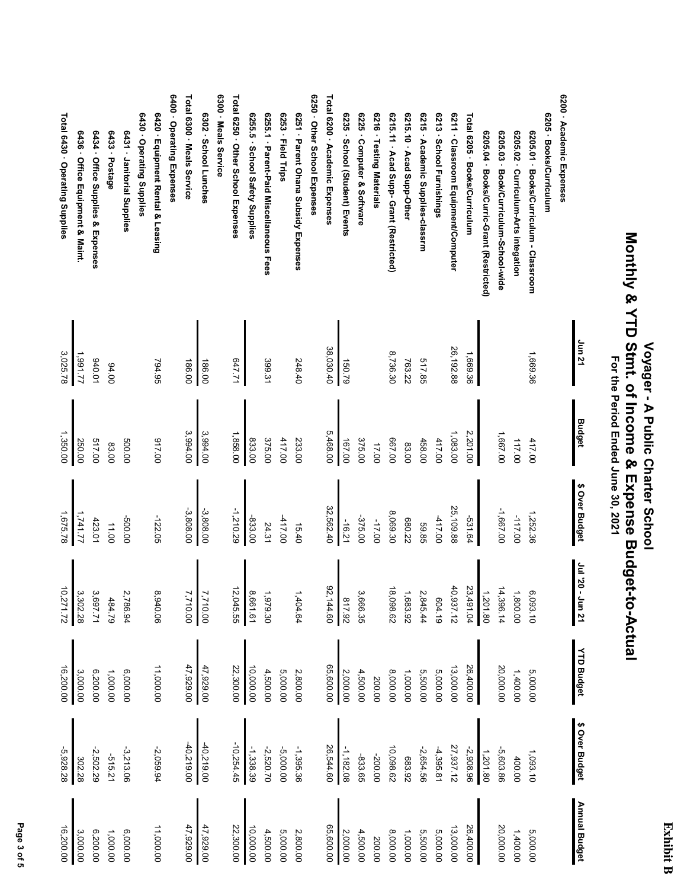### **Monthly & YTD Stmt. of Income & Expense Budget-to-Actual** Monthly & YTD Stmt. of Income & Expense Budget-to-Actual  **Voyager - A Public Charter School** Voyager - A Public Charter School For the Period Ended June 30, 2021  **For the Period Ended June 30, 2021**

6400 - Operating Expenses Total 6300 - Meals Service 6300 · Meals Service Total 6250 · Other School Expenses 6250 · Other School Expenses Total 6200 · Academic Expenses 6200 - Academic Expenses **6400 · Operating Expenses Total 6300 · Meals Service 6300 · Meals Service Total 6250 · Other School Expenses 6250 · Other School Expenses Total 6200 · Academic Expenses 6200 · Academic Expenses** Total 6430 · Operating Supplies 6430 - Operating Supplies 6420 · Equipment Rental & Leasing 6302 · School Lunches 6255.5 · School Safety Supplies 6255.1 · Parent-Paid Miscellaneous Fees 6253 · Field Trips 6251 - Parent Ohana Subsidy Expenses 6235 · School (Student) Events 6225 · Computer & Software 6216 · Testing Materials 6215.11 · Acad Supp- Grant (Restricted) 6215.10 - Acad Supp-Other 6215 · Academic Supplies-classrm 6213 · School Furnishings 6211 · Classroom Equipment/Computer Total 6205 · Books/Curriculum 6205 · Books/Curriculum **Total 6430 · Operating Supplies Total 6205 · Books/Curriculum 6430 · Operating Supplies 6420 · Equipment Rental & Leasing 6302 · School Lunches 6255.5 · School Safety Supplies 6255.1 · Parent-Paid Miscellaneous Fees 6253 · Field Trips 6251 · Parent Ohana Subsidy Expenses 6235 · School (Student) Events 6225 · Computer & Software 6216 · Testing Materials 6215.11 · Acad Supp- Grant (Restricted) 6215.10 · Acad Supp-Other 6215 · Academic Supplies-classrm 6213 · School Furnishings 6211 · Classroom Equipment/Computer 6205 · Books/Curriculum** 6436 · Office Equipment & Maint. 6431 · Janitorial Supplies 6434 · Office Supplies & Expenses 6433 - Postage 6205.04 · Books/Curric-Grant (Restricted) 6205.03 · Book/Curriculum-School-wide 6205.02 · Curriculum-Arts integation 6205.01 · Books/Curriculum - Classroom **6436 · Office Equipment & Maint. 6434 · Office Supplies & Expenses 6433 · Postage 6431 · Janitorial Supplies 6205.04 · Books/Curric-Grant (Restricted) 6205.03 · Book/Curriculum-School-wide 6205.02 · Curriculum-Arts integation 6205.01 · Books/Curriculum - Classroom Jun 21** 38,030.40 26,192.88 38,030.40 26,192.88 1,991.77 8,736.30 3,025.78 1,669.36 1,669.36 517.85 940.01 186.00 647.71 399.31 248.40 150.79 763.22 794.95 186.00 94.00 **Budget** 1,350.00 1,858.00 5,468.00 1,083.00 2,201.00 3,994.00 3,994.00 1,667.00 417.00 517.00 500.00 917.00 375.00 417.00 233.00 375.00 458.00 417.00 117.00 250.00 833.00 167.00 667.00 83.00 83.00 17.00 \$ Over Budget **\$ Over Budget** -3,808.00 -3,808.00 -1,210.29 32,562.40 25,109.88 32,562.40 25,109.88 -1,667.00 8,069.30 1,252.36 1,741.77 1,675.78 -417.00 -417.00 -117.00 -500.00 -122.05 -833.00 -375.00 -531.64 680.22 423.0 -17.00 -16.21 11.00 24.31 59.85 15.40 120 - 010 110 **Jul '20 - Jun 21** 92,144.60 12,045.55 1,404.64 40,937.12 14,396.14 10,271.72 12,045.55 92,144.60 18,098.62 40,937.12 23,491.04 23,491.04 14,396.14 6,093.10 3,697.71 2,786.94 8,661.61 1,800.00 8,940.06 1,979.30 2,845.44 1,201.80 3,302.28 7,710.00<br>7,710.00 3,666.35 1,683.92 817.92 604.19 484.79 **YTD Budget YTD Budget** 47,929.00<br>47,929.00 6,000.00 11,000.00 22,300.00 2,800.00 65,600.00 5,000.00 26,400.00 20,000.0C 16,200.00 47,929.00 47,929.00 22,300.00 10,000.00 65,600.00 13,000.00 26,400.00 20,000.00 16,200.00 3,000.00 4,500.00 5,000.00 2,000.00 4,500.00 8,000.00 1,000.00 5,500.00 1,400.00 5,000.00 6,200.00 1,000.00 200.00 \$ Over Budget **\$ Over Budget**  $-40,219.00$  $-40,219.00$  $-10,254.45$ -40,219.00 -40,219.00 -10,254.45 -1,338.39 -1,395.36 26,544.60 -1,182.08 10,098.62 27,937.12 1,201.80 1,093.10 -3,213.06 -2,520.70 -5,000.00 26,544.60 -2,654.56 -4,395.81 27,937.12 -5,928.28 -2,502.29 -2,059.94 -2,908.96 -5,603.86 -200.00 -515.21 -833.65 683.92 400.00 302.28 **Annual Budget Annual Budget** 47,929.00 47,929.00 00'009'99 16,200.00 6,000.00 22,300.00 2,800.00 26,400.00 20,000.0C 11,000.00 47,929.00 47,929.00 22,300.00 10,000.00 65,600.00 13,000.00 26,400.00 20,000.00 4,500.00 5,000.00 2,000.00 4,500.00 8,000.00 1,000.00 5,500.00 5,000.00 1,400.00 5,000.00 3,000.00 6,200.00 1,000.00 200.00

 **Page 3 of 5** Page 3 of 5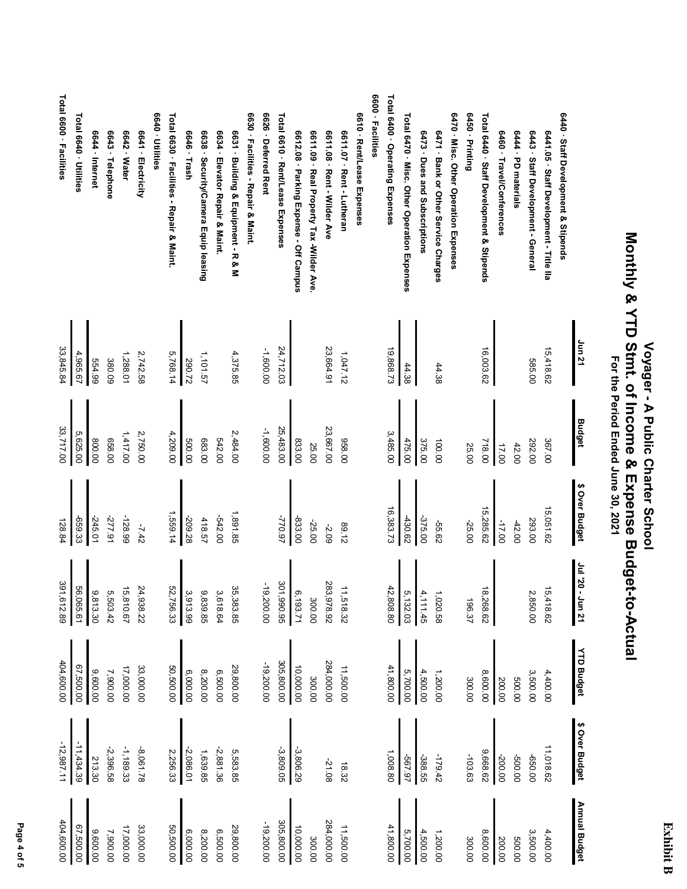|                                                |               | For the Period Line 30, 2021 |                         |                            |                   |                |               |
|------------------------------------------------|---------------|------------------------------|-------------------------|----------------------------|-------------------|----------------|---------------|
|                                                | <b>Jun 21</b> | Budget                       | ↮<br><b>Over Budget</b> | - 0Z, IPP<br><b>Jun 21</b> | <b>YTD Budget</b> | \$ Over Budget | Annual Budget |
| 6440 · Staff Development & Stipends            |               |                              |                         |                            |                   |                |               |
| 6441.05 · Staff Development - Title IIa        | 15,418.62     | 367.00                       | 15,051.62               | $\vec{c}$<br>418.62        | 4,400.00          | 11,018.62      | 4,400.00      |
| 6443.<br>Staff Development - General           | 585.00        | 292.00                       | 293.00                  | Ņ<br>00.058                | 3,500.00          | 00'099-        | 3,500.00      |
| 6444 - PD materials                            |               | 42.00                        | $-42.00$                |                            | 00'009            | 00'009-        | 500.00        |
| 6460 · Travel/Conferences                      |               | 17.00                        | $-17.00$                |                            | 200.00            | -200.00        | 200.00        |
| Total 6440 · Staff Development & Stipends      | 16,003.62     | 718.00                       | 5,285.62                | $\vec{8}$<br>,268.62       | 8,600.00          | 9,668.62       | 8,600.00      |
| 6450 - Printing                                |               | 25.00                        | -25.00                  | 196.37                     | 300.00            | $-103.63$      | 300.00        |
| 6470 - Misc. Other Operation Expenses          |               |                              |                         |                            |                   |                |               |
| 6471 - Bank or Other Service Charges           | 44.38         | 100.00                       | -55.62                  | 85020                      | 1,200.00          | -179.42        | 1,200.00      |
| 6473 · Dues and Subscriptions                  |               | 375.00                       | -375.00                 | 4.<br>111.45               | 4,500.00          | -388.55        | 4,500.00      |
| Total 6470 · Misc. Other Operation Expenses    | 44.38         | 475.00                       | 430.62                  | ō,<br>,132.03              | 5,700.00          | -567.97        | 5,700.00      |
| Total 6400 · Operating Expenses                | 19,868.73     | 3,485.00                     | 16,383.73               | 42,<br>,808.80             | 41,800.00         | 1,008.80       | 41,800.00     |
| 6600 · Facilities                              |               |                              |                         |                            |                   |                |               |
| 6610 · Rent/Lease Expenses                     |               |                              |                         |                            |                   |                |               |
| 6611.07 · Rent - Lutheran                      | 1,047.12      | 068.00                       | 21.68                   | 11,518.32                  | 11,500.00         | 18.32          | 11,500.00     |
| 6611.08 · Rent - Wilder Ave                    | 23,664.91     | 23,667.00                    | -2.09                   | 283,<br>28.825             | 284,000.00        | -21.08         | 284,000.00    |
| 6611.09<br>Real Property Tax -Wilder Ave.      |               | 25.00                        | $-25.00$                | 300.00                     | 300.00            |                | 300.00        |
| 6612.08 · Parking Expense - Off Campus         |               | 833.00                       | -833.00                 | Õ,<br>193.71               | 10,000.00         | $-3,806.29$    | 10,000.00     |
| Total 6610 · Rent/Lease Expenses               | 24,712.03     | 25,483.00                    | -770.97                 | 301,990.95                 | 305,800.00        | $-3,809.05$    | 305,800.00    |
| 6626 · Deferred Rent                           | -1,600.00     | $-1,600.000$                 |                         | $-10$<br>200.00            | -19,200.00        |                | -19,200.00    |
| 6630 · Facilities - Repair & Maint.            |               |                              |                         |                            |                   |                |               |
| 6631 · Building & Equipment - R & M            | 4,375.85      | 2,484.00                     | 1,891.85                | 35,<br>,383.85             | 29,800.00         | 5,583.85       | 29,800.00     |
| 6634 · Elevator Repair & Maint                 |               | 542.00                       | -542.00                 | ω<br>18.64                 | 6,500.00          | $-2,881.36$    | 6,500.00      |
| 6638 · Security/Camera Equip leasing           | 1,101.57      | 683.00                       | 418.57                  | ഗ<br>,839.85               | 8,200.00          | 1,639.85       | 8,200.00      |
| 6646 · Trash                                   | 290.72        | 500.00                       | -209.28                 | یں<br>,913.99              | 6,000.00          | $-2,086.01$    | 6,000.00      |
| <b>Total 630 · Facilities - Reparit Struct</b> | 5,768.14      | 4,209.00                     | 1,559.14                | 52,<br>,756.33             | 50,500.00         | 2,256.33       | 50,500.00     |
| 6640 · Utilities                               |               |                              |                         |                            |                   |                |               |
| 6641 - Electricity                             | 2,742.58      | 2,750.00                     | $-7.42$                 | 24,938.22                  | 33,000.00         | -8,061.78      | 33,000.00     |
| 6642 · Water                                   | 1,288.01      | 1,417.00                     | -128.99                 | ίő,<br>810.67              | 17,000.00         | $-1,189.33$    | 17,000.00     |
| 6643 · Telephone                               | 380.09        | 028.00                       | -277.91                 | ູຕ<br>,503.42              | 7,900.00          | $-2,396.58$    | 7,900.00      |
| 6644 · Internet                                | 66'799        | 00'008                       | $-245.01$               | ِهِ<br>,813.30             | 9,600.00          | 213.30         | 9,600.00      |
| Total 6640 - Utilities                         | 4,965.67      | 5,625.00                     | -659.33                 | 56,065.61                  | 67,500.00         | $-11,434.39$   | 00'009'29     |
|                                                |               |                              |                         |                            |                   |                |               |

# **Monthly & YTD Stmt. of Income & Expense Budget-to-Actual** Monthly & YID Strute & Expense Braph-Actricity  **Voyager - A Public Charter School** Voyager - A Public Charter School

### 6600 - Facilities **6600 · Facilities**

**Total 6600 · Facilities**

Total 6600 · Facilities

33,845.84

33,845.84

5,625.00<br>33,717.00

33,717.00

128.84

391,612.89

391,612.89

404,600.00

404,600.00

-12,987.11

 $-12,987.11$  $-11,434.39$ 

404,600.00

67,500.00<br>404,600.00

Page 4 of 5  **Page 4 of 5**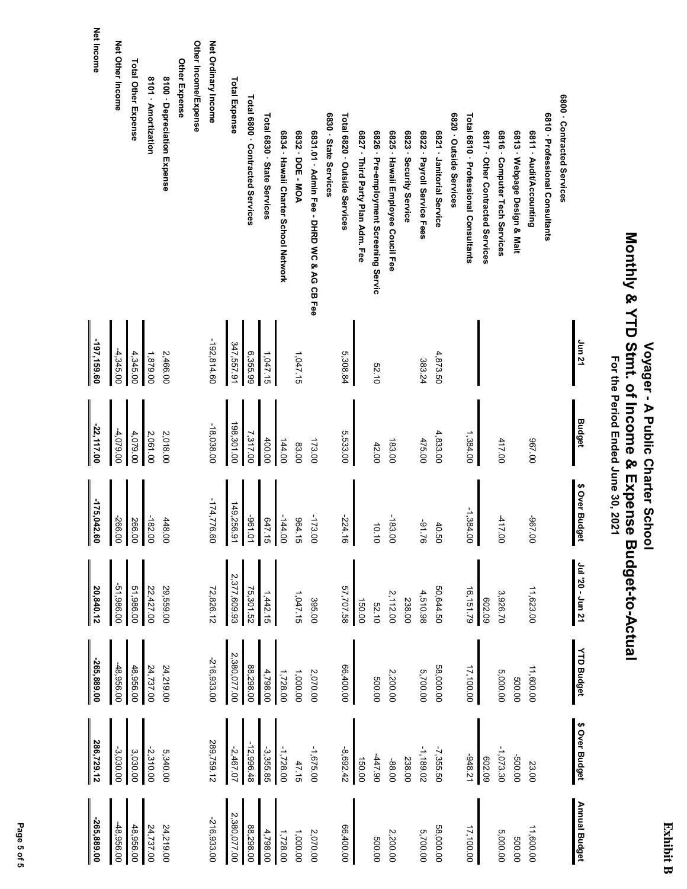### **Monthly & YTD Stmt. of Income & Expense Budget-to-Actual** Monthly & YTD Stmt. of Income & Expense Budget-to-Actual  **Voyager - A Public Charter School** Voyager - A Public Charter School For the Period Ended June 30, 2021  **For the Period Ended June 30, 2021**

 **Net Income Net Income** Other Income/Expense Net Other Income Net Ordinary Income **Net Other Income Other Income/Expense Net Ordinary Income** Other Expense **Total Other Expense Total Other Expense Other Expense** 8101 - Amortization 8100 - Depreciation Expense **Total Expense 8101 · Amortization 8100 · Depreciation Expense Total Expense** Total 6800 · Contracted Services 6800 - Contracted Services **Total 6800 · Contracted Services 6800 · Contracted Services** Total 6830 · State Services 6830 - State Services Total 6820 - Outside Services 6820 - Outside Services Total 6810 · Professional Consultants 6810 · Professional Consultants **Total 6830 · State Services Total 6820 · Outside Services Total 6810 · Professional Consultants 6830 · State Services 6820 · Outside Services 6810 · Professional Consultants** 6831.01 - Admin Fee - DHRD WC & AG CB Fee 6834 · Hawaii Charter School Network 6832 - DOE - MOA 6827 · Third Party Plan Adm. Fee 6826 · Pre-employment Screening Servic 6825 · Hawaii Employee Coucil Fee 6823 · Security Service 6822 · Payroll Service Fees 6821 - Janitorial Service 6817 · Other Contracted Services 6816 · Computer Tech Services 6813 · Webpage Design & Mait 6811 - Audit/Accounting **6834 · Hawaii Charter School Network 6832 · DOE - MOA 6831.01 · Admin Fee - DHRD WC & AG CB Fee 6827 · Third Party Plan Adm. Fee 6826 · Pre-employment Screening Servic 6825 · Hawaii Employee Coucil Fee 6823 · Security Service 6822 · Payroll Service Fees 6821 · Janitorial Service 6817 · Other Contracted Services 6816 · Computer Tech Services 6813 · Webpage Design & Mait 6811 · Audit/Accounting** -197,159.60 **Jun 21**  $-192, 814.60$ **-197,159.60** -192,814.60 347,557.91 347,557.91 4,345.00 2,466.00 1,047.15 5,308.84 -4,345.00 1,879.00 6,355.99 1,047.15 4,873.50 383.24 52.10 **Budget** 198,301.00 -22,117.00  $-18,038.00$ 198,301.00 **-22,117.00** -18,038.00 -4,079.00 5,533.00 4,079.00 2,061.00 2,018.00 7,317.00 4,833.00 1,384.00 400.00 144.00 475.00 417.00 967.00 173.00 183.00 83.00 42.00 \$ Over Budget **\$ Over Budget**  $-175,042.60$  $-174,776.60$ -174,776.60 **-175,042.60** 149,256.91 149,256.91 -1,384.00 -182.00 -144.00 -173.00 -417.00 -266.00 647.15 964.15 -183.00 -967.00  $-96-1.01$ -224.16 266.00 448.00 -91.76 10.10 40.50 120 - 01 11 **Jul '20 - Jun 21** 2,377,609.93 2,377,609.93 -51,986.00 **20,840.12** -51,986.00 51,986.00 22,427.00 29,559.00 72,826.12 75,301.52 57,707.58 50,644.50 11,623.00 51,986.00 22,427.00 29,559.00 72,826.12 75,301.52 1,047.15 57,707.58 4,510.98 50,644.50 16, 151.79 16,151.79 11,623.00 1,442.15 2,112.00 3,926.70 395.00 238.00 602.09 150.00 52.10 **YTD Budget YTD Budget** 2,380,077.00 2,380,077.00 -265,889.00 -216,933.00 **-265,889.00** -216,933.00 -48,956.00 -48,956.00 48,956.00 24,737.00 88,298.00 17,100.00 24,219.00 66,400.00 58,000.00 11,600.00 48,956.00 24,737.00 24,219.00 88,298.00 66,400.00 58,000.00 4,798.00 1,728.00 1,000.00 2,070.00 2,200.00 5,700.00 5,000.00 11,600.00 500.00 500.00 \$ Over Budget **\$ Over Budget** 286,729.12 289,759.12  $-12,996.48$ **286,729.12** 289,759.12 -12,996.48 -2,310.00  $-2,467.07$ -3,355.85 -1,728.00 -1,675.00 -3,030.00 -1,189.02 -7,355.50 -1,073.30 3,030.00 5,340.00 -8,692.42 -500.00 -948.21 602.09 -447.90 238.00 47.15 150.00 -88.00 23.00 **Annual Budget Annual Budget** 2,380,077.00 2,380,077.00 -265,889.00 -216,933.00 **-265,889.00** -216,933.00 48,956.00 -48,956.00 48,956.00 24,737.00 88,298.00 00'00'400 24,219.00 2,070.00 58,000.00 17,100.00 11,600.00 48,956.00 24,737.00 24,219.00 88,298.00 66,400.00 58,000.00 4,798.00 1,728.00 1,000.00 2,200.00 5,000.00 5,700.00 500.00 500.00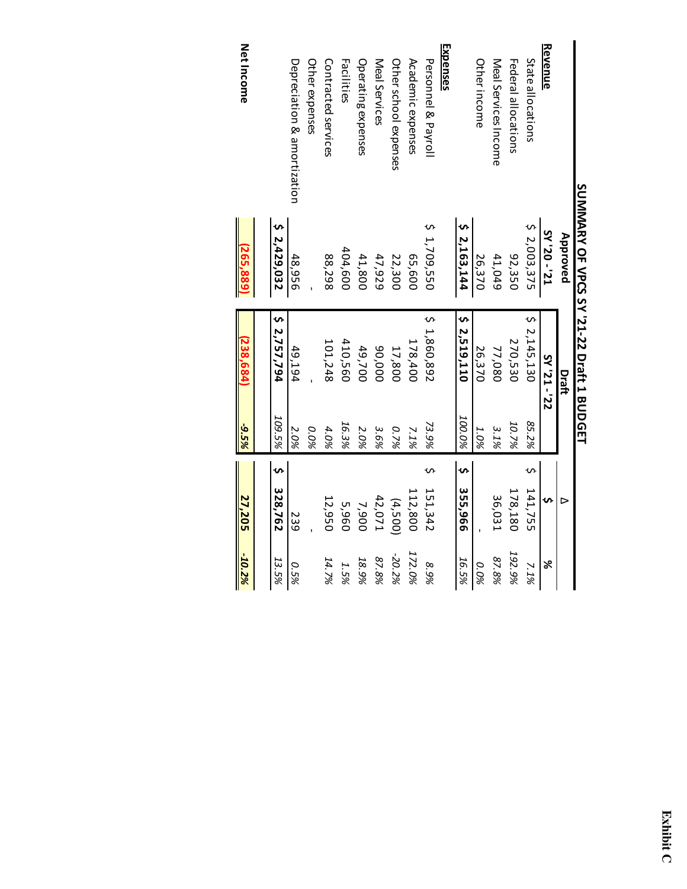|                             | SUMARY OF VPCS SY '21-22 Draft 1 BUDGET |              |        |              |               |        |
|-----------------------------|-----------------------------------------|--------------|--------|--------------|---------------|--------|
|                             | Approved                                | Draft        |        |              | ⊳             |        |
| <u>Revenue</u>              | LZ <sub>1</sub> - 0Z <sub>1</sub> AS    | 22'-12'Y2    |        |              | S             | ৯ৎ     |
| <b>State allocations</b>    | 52,003,375                              | 52,145,130   | 85.2%  |              | 141,755       | 7.1%   |
| Federal allocations         | 92,350                                  | 270,530      | 10.7%  |              | 178,180       | 192.9% |
| Meal Services Income        | 41,049                                  | 77,080       | 3.1%   |              | 36,031        | 87.8%  |
| Other income                | 26,370                                  | 26,370       | 1.0%   |              |               | 0.0%   |
|                             | 2 2,163,144                             | 52.519,110   | 100.0% | $\mathsf{v}$ | 355,966       | 16.5%  |
| Expenses                    |                                         |              |        |              |               |        |
| Personnel & Payroll         | 5 1,709,550                             | \$1,860,892  | 73.9%  |              | 151,342       | 8.9%   |
| Academic expenses           | 65,600                                  | 178,400      | 7.1%   |              | 112,800       | 172.0% |
| Other school expenses       | 22,300                                  | 17,800       | 0.7%   |              | (4,500)       | -20.2% |
| Meal Services               | 47,929                                  | 000'06       | 3.6%   |              | 42,071        | 87.8%  |
| Operating expenses          | 41,800                                  | 49,700       | 2.0%   |              | 7,900         | 18.9%  |
| Facilities                  | 404,600                                 | 410,560      | 16.3%  |              | 5,960         | 1.5%   |
| Contracted services         | 88,298                                  | 101,248      | 4.0%   |              | 12,950        | 14.7%  |
| Other expenses              |                                         |              | 0.0%   |              |               |        |
| Depreciation & amortization | 48,956                                  | 49,194       | 2.0%   |              | 539           | 0.5%   |
|                             | 52,429,032                              | \$ 2,757,794 | 109.5% | $\mathbf{v}$ | 328,762       | 13.5%  |
|                             |                                         |              |        |              |               |        |
| <b>Net Income</b>           | (265,889)                               | (238, 684)   | -9.5%  |              | <b>27,205</b> | -10.2% |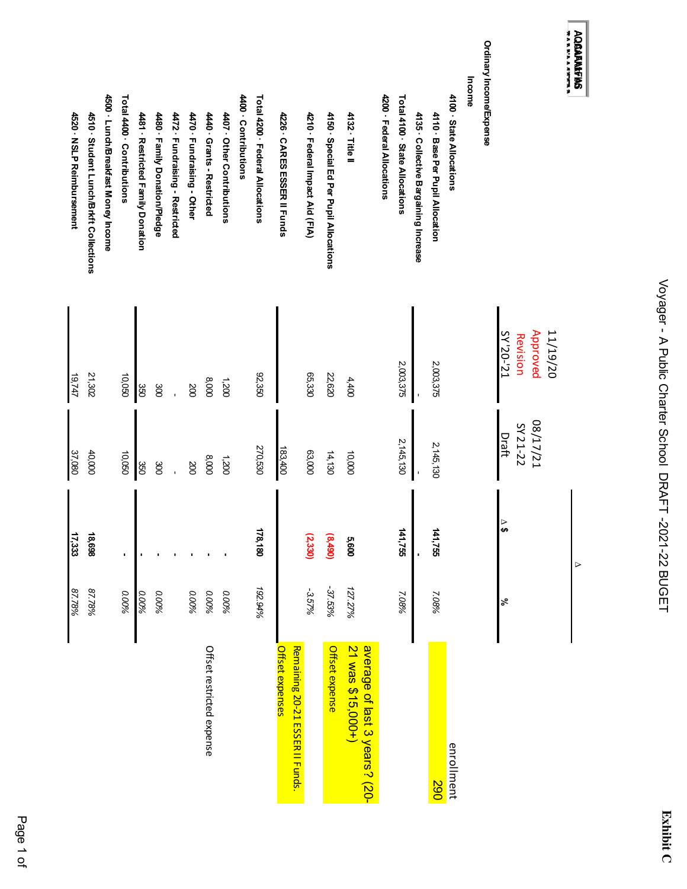| Ó<br>I<br>ı                                                                                                    |
|----------------------------------------------------------------------------------------------------------------|
| - 2 Mins 2 Mins 2 Mins 2 Mins 2 Mins 2 Mins 2 Mins 2 Mins 2 Mins 2 Mins 2 Mins 2 Mins 2 Mins 2 Mins 2 Mins 2 M |
| J<br>י<br>ו<br>ı<br>ーー しくし<br>$\mathbf{C}$                                                                     |

| I |
|---|
| ſ |

| 4520 · NSLP Reimbursement | 4510 · Student Lunch/Brkft Collections | 4500 · Lunch/Breakfast Money Income | Total 4400 Contributions | 4481 · Restricted Family Donation | 4480 · Family Donation/Pledge | 4472 · Fundraising - Restricted | 4470 Fundraising - Other | 4440 Grants - Restricted  | 4407 · Other Contributions | 4400 · Contributions | Total 4200 · Federal Allocations | 4226 · CARES ESSER II Funds                               | 4210 · Federal Impact Aid (FIA) | 4150 · Special Ed Per Pupil Allocations | 4132 · Title II                                    | 4200 · Federal Allocations | Total 4100 State Allocations | 4135 · Collective Bargaining Increase | 4110 · Base Per Pupil Allocation | 4100 - State Allocations | Income | Ordinary Income/Expense |                                               | オンメン・ファン ライブメン<br><b>AQBAFAMFBS</b> |
|---------------------------|----------------------------------------|-------------------------------------|--------------------------|-----------------------------------|-------------------------------|---------------------------------|--------------------------|---------------------------|----------------------------|----------------------|----------------------------------|-----------------------------------------------------------|---------------------------------|-----------------------------------------|----------------------------------------------------|----------------------------|------------------------------|---------------------------------------|----------------------------------|--------------------------|--------|-------------------------|-----------------------------------------------|-------------------------------------|
| 19,747                    | 21,302                                 |                                     | 10,050                   | 350                               | 300                           |                                 | 200                      | 8,000                     | 1,200                      |                      | 92,350                           |                                                           | 65,330                          | 22,620                                  | 4,400                                              |                            | 2,003,375                    |                                       | 2,003,375                        |                          |        |                         | 11/19/20<br>Approved<br>SY'20-'21<br>Revision |                                     |
| 37,080                    | 40,000                                 |                                     | 090'01                   | 350                               | 300                           |                                 | 200                      | 8,000                     | 1,200                      |                      | 270,530                          | 183,400                                                   | 63,000                          | 14,130                                  | 10,000                                             |                            | 2, 145, 130                  |                                       | 2, 145, 130                      |                          |        |                         | 12/17/21<br>SY 21-22<br>Draft                 |                                     |
| 17,333                    | 18,698                                 |                                     |                          |                                   |                               |                                 |                          |                           |                            |                      | 178,180                          |                                                           | (2, 330)                        | (8,490)                                 | 5,600                                              |                            | 141,755                      |                                       | 141,755                          |                          |        |                         | $\frac{6}{3}$                                 | ⊳                                   |
| 87.78%                    | 87.78%                                 |                                     | 0.00%                    | 0.00%                             | 0.00%                         |                                 | 0.00%                    | 0.00%                     | 0.00%                      |                      | 192.94%                          |                                                           | -3.57%                          | -37.53%                                 | 127.27%                                            |                            | 7.08%                        |                                       | 7.08%                            |                          |        |                         | వ్                                            |                                     |
|                           |                                        |                                     |                          |                                   |                               |                                 |                          | Offset restricted expense |                            |                      |                                  | Remaining 20-21 ESSER II Funds.<br><u>Offset expenses</u> |                                 | Offset expense                          | 21 was \$15,000+)<br>average of last 3 years? (20- |                            |                              |                                       | 067                              | enrollment               |        |                         |                                               |                                     |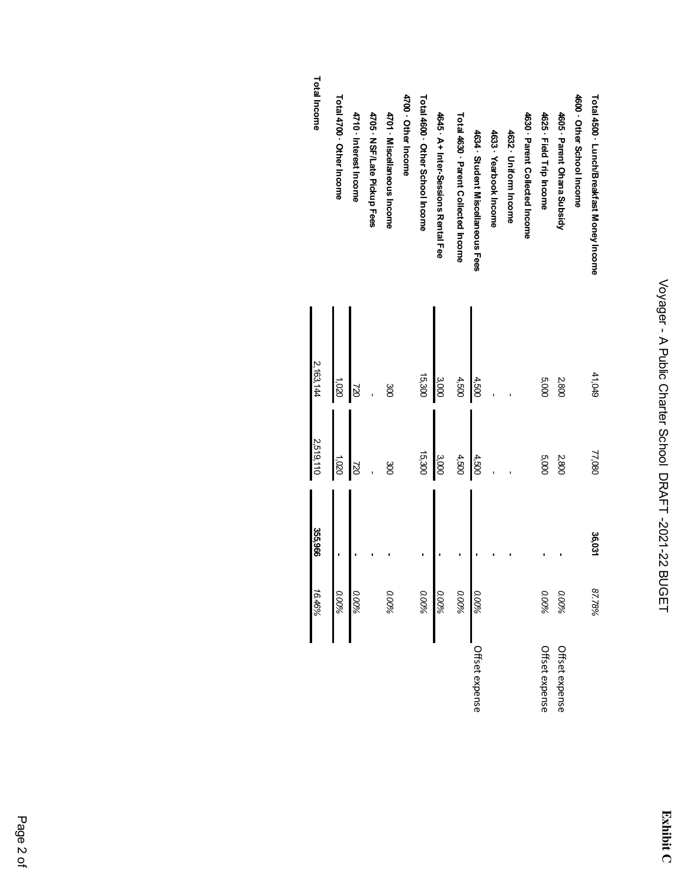| <b>Total Income</b> | Total 4700 Other Income | 4710 Interest Income | 4705 · NSF/Late Pickup Fees | 4701 · Miscellaneous Income | 4700 - Other Income | Total 4600 · Other School Income | 4645 · A+ Inter-Sessions Rental Fee | <b>Total 4630 · Parent Collected Income</b> | 4634 Student Miscellaneous Fees | 4633 · Yearbook Income | 4632 · Uniform Income | 4630 - Parent Collected Income | 4625 · Field Trip Income | 4605 · Parent Ohana Subsidy | 4600 Other School Income | Total 4500 · Lunch/Breakfast Money Income |
|---------------------|-------------------------|----------------------|-----------------------------|-----------------------------|---------------------|----------------------------------|-------------------------------------|---------------------------------------------|---------------------------------|------------------------|-----------------------|--------------------------------|--------------------------|-----------------------------|--------------------------|-------------------------------------------|
| 2,163,144           | 0201                    | 22                   |                             | go                          |                     | 15,300                           | 3,000                               | 4,500                                       | 4,500                           |                        |                       |                                | 000'S                    | 2,800                       |                          | 41,049                                    |
| 2,519,110           | 0201                    | 82                   |                             | go                          |                     | 15,300                           | 3,000                               | 4,500                                       | 4,500                           |                        |                       |                                | 5,000                    | 2,800                       |                          | 77,080                                    |
| 355,966             | r                       |                      |                             |                             |                     |                                  |                                     |                                             |                                 |                        |                       |                                |                          |                             |                          | 36,031                                    |
| 16.46%              | 0.00%                   | 0.00%                |                             | 0.00%                       |                     | 0.00%                            | 0.00%                               | 0.00%                                       | 0.00%                           |                        |                       |                                | 0.00%                    | 0.00%                       |                          | 87.78%                                    |
|                     |                         |                      |                             |                             |                     |                                  |                                     |                                             | Offset expense                  |                        |                       |                                | Offset expense           | Offset expense              |                          |                                           |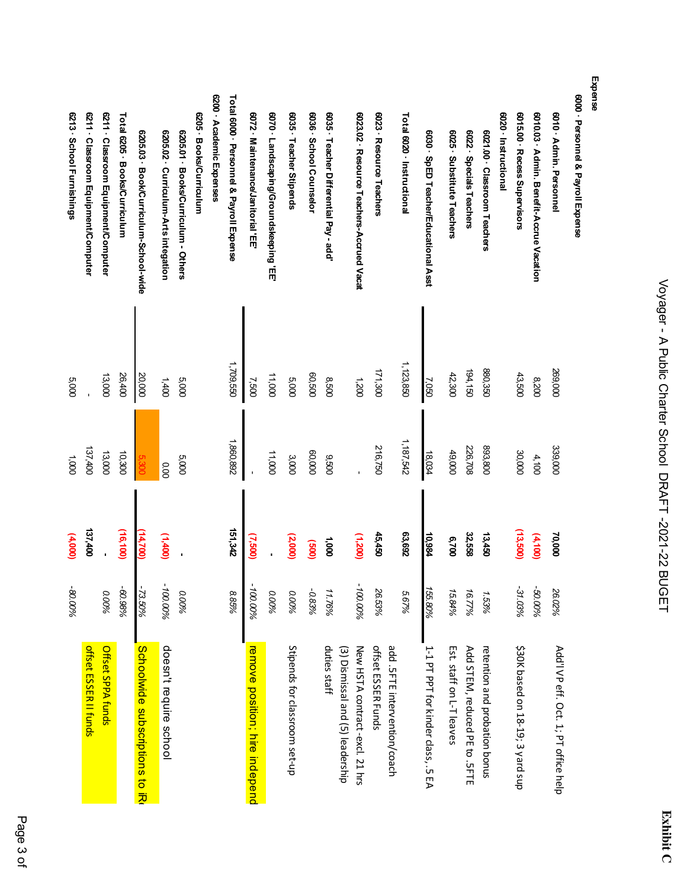| ۷, |  |
|----|--|
|    |  |
|    |  |
|    |  |

| 6000 · Personnel & Payroll Expense        |             |           |           |            |                                                    |
|-------------------------------------------|-------------|-----------|-----------|------------|----------------------------------------------------|
| 6010 Admin. Personnel                     | 269,000     | 339,000   | 70,000    | 26.02%     | Add'l VP eff. Oct. 1; PT office help               |
| 6010.03 · Admin. Benefit-Accrue Vacation  | 002'8       | 4,100     | (4,100)   | -50.00%    |                                                    |
| 6015.00 · Recess Supervisors              | 43,500      | 30,000    | (13,500)  | $-31.03\%$ | \$30K based on 18-19; 3 yard sup                   |
| 6020 · Instructional                      |             |           |           |            |                                                    |
| 6021.00 · Classroom Teachers              | 880,350     | 893,800   | 13,450    | 1.53%      | retention and probation bonus                      |
| 6022 · Specials Teachers                  | 194,150     | 226,708   | 32,558    | 16.77%     | Add STEM, reduced PE to . 5FTE                     |
| 6025 · Substitute Teachers                | 42,300      | 49,000    | 6,700     | 15.84%     | Est. staff on L-T leaves                           |
| 6030 · SpED Teacher/Educational Asst      | 7,050       | 18,034    | 10,984    | 155.80%    | 1-1 PT PPT for kinder class, .5 EA                 |
| Total 6020 · Instructional                | 1, 123, 850 | 1,187,542 | 63,692    | 5.67%      |                                                    |
| 6023 · Resource Teachers                  | 171,300     | 216,750   | 45,450    | 26.53%     | offset ESSER Funds<br>add .5FTE intervention/coach |
| 6023.02 · Resource Teachers-Accrued Vacat | 1,200       |           | (1,200)   | -100.00%   | New HSTA contract-excl. 21 hrs                     |
| 6035 · Teacher Differential Pay - add     | 0098        | 0250      | 1,000     | 11.76%     | duties staff<br>(3) Dismissal and (5) leadership   |
| 6036 · School Counselor                   | 00'200      | 60,000    | (00)      | -0.83%     |                                                    |
| 6035 · Teacher Stipends                   | 000'S       | 3,000     | (2,000)   | 0.00%      | Stipends for classroom set-up                      |
| 6070 · Landscaping/Groundskeeping 'EE'    | 11,000      | 11,000    |           | 0.00%      |                                                    |
| 6072 · Maintenance/Janitorial 'EE         | 7,500       |           | (7,500)   | -100.00%   | remove position; hire indepenc                     |
| Total 6000 · Personnel & Payroll Expense  | 1,709,550   | 1,860,892 | 151,342   | 8.85%      |                                                    |
| 6200 · Academic Expenses                  |             |           |           |            |                                                    |
| 6205 · Books/Curriculum                   |             |           |           |            |                                                    |
| 6205.01 · Books/Curriculum - Others       | 000'S       | 000'S     |           | 0.00%      |                                                    |
| 6205.02 · Curriculum-Arts integation      | 1,400       | 0.00      | (1,400)   | -100.00%   | doesn't require school                             |
| 6205.03 · Book/Curriculum-School-wide     | 20,000      |           | (14,700)  | -73.50%    | Scroolwide subscriptions to jp                     |
| Total 6205 · Books/Curriculum             | 26,400      | 10,300    | (16, 100) | -60.98%    |                                                    |
| 6211 Classroom Equipment/Computer         | 13,000      | 13,000    |           | 0.00%      | Offset SPPA funds                                  |
| 6211 · Classroom Equipment/Computer       |             | 137,400   | 137,400   |            | offset ESSER II funds                              |
| 6213 · School Furnishings                 | 5,000       | 000'      | (4,000)   | -80.00%    |                                                    |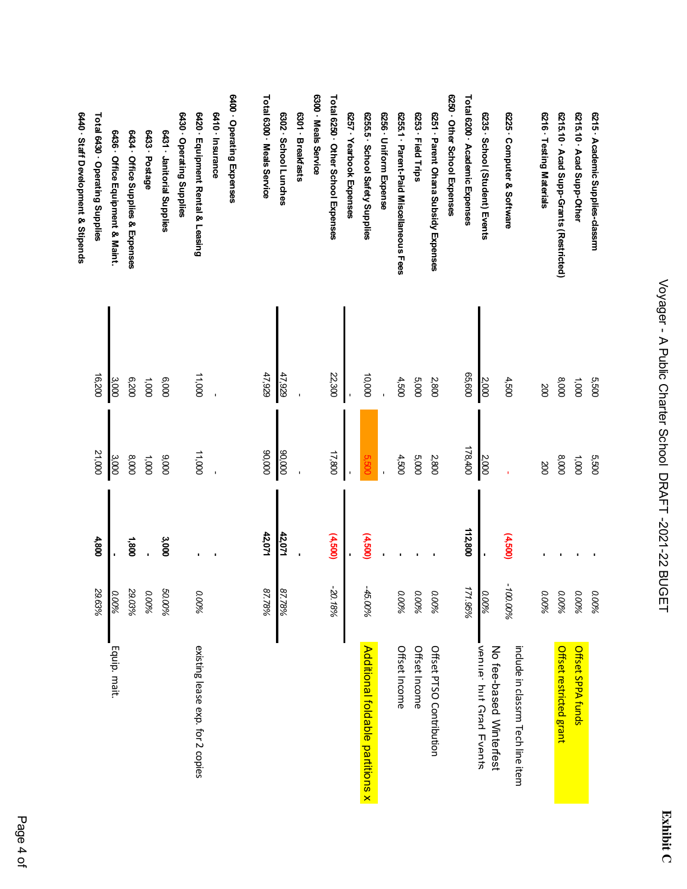| .<br>.<br>.<br>.<br>.<br>.<br>.<br>. |
|--------------------------------------|
| <b>SEE 2020</b>                      |
| j                                    |
| ו<br>ו<br>I                          |
| ・「「ひくいい<br>)<br> }<br> }             |

| 6215 Academic Supplies-classrm          | 5,500  | 5,500   |         | 0.00%    |                                                          |
|-----------------------------------------|--------|---------|---------|----------|----------------------------------------------------------|
| 6215.10 Acad Supp-Other                 | 1,000  | 1,000   |         | 0.00%    | Offset SPPA funds                                        |
| 6215.10 Acad Supp-Grants (Restricted)   | 8,000  | 8,000   |         | 0.00%    | Offset restricted grant                                  |
| 6216 · Testing Materials                | 200    | 200     |         | 0.00%    |                                                          |
| 6225 Computer & Software                | 4,500  |         | (4,500) | -100.00% | include in classrm Tech line item                        |
| 6235 · School (Student) Events          | 2,000  | 2,000   |         | 0.00%    | <b>Venie: but Grad Events</b><br>No fee-based Winterfest |
| Total 6200 · Academic Expenses          | 65,600 | 178,400 | 112,800 | 171.95%  |                                                          |
| 6250 Other School Expenses              |        |         |         |          |                                                          |
| 6251 - Parent Ohana Subsidy Expenses    | 2,800  | 2,800   |         | 0.00%    | Offset PTSO Contribution                                 |
| 6253 · Field Trips                      | 5,000  | 5,000   |         | 0.00%    | Offset Income                                            |
| 6255.1 · Parent-Paid Miscellaneous Fees | 4,500  | 4,500   |         | 0.00%    | Offset Income                                            |
| 6256 Uniform Expense                    |        |         |         |          |                                                          |
| 6255.5 · School Safety Supplies         | 10,000 | 5,500   | (4,500) | -45.00%  | <b>Additonal foldable partitions x</b>                   |
| 6257 Yearbook Expenses                  |        |         |         |          |                                                          |
| Total 6250 · Other School Expenses      | 22,300 | 17,800  | (4,500) | -20.18%  |                                                          |
| 6300 · Meals Service                    |        |         |         |          |                                                          |
| 6301 - Breakfasts                       |        |         |         |          |                                                          |
| 6302 School Lunches                     | 47,929 | 90,000  | 42,071  | 87.78%   |                                                          |
| Total 6300 · Meals Service              | 47,929 | 000'06  | 42,071  | 87.78%   |                                                          |
| 6400 Operating Expenses                 |        |         |         |          |                                                          |
| 6410 - Insurance                        |        |         |         |          |                                                          |
| 6420 · Equipment Rental & Leasing       | 11,000 | 11,000  |         | 0.00%    | existing lease exp. for 2 copies                         |
| 6430 - Operating Supplies               |        |         |         |          |                                                          |
| 6431 - Janitorial Supplies              | 000'9  | 000'6   | 3,000   | 50.00%   |                                                          |
| 6433 · Postage                          | 000'   | $1,000$ |         | 0.00%    |                                                          |
| 6434 Office Supplies & Expenses         | 00Z9   | 8,000   | 1,800   | 29.03%   |                                                          |
| 6436 · Office Equipment & Maint.        | 3,000  | 3,000   |         | 0.00%    | Equip. mait.                                             |
| Total 6430 - Operating Supplies         | 16,200 | 21,000  | 4,800   | 29.63%   |                                                          |
| 6440 Staff Development & Stipends       |        |         |         |          |                                                          |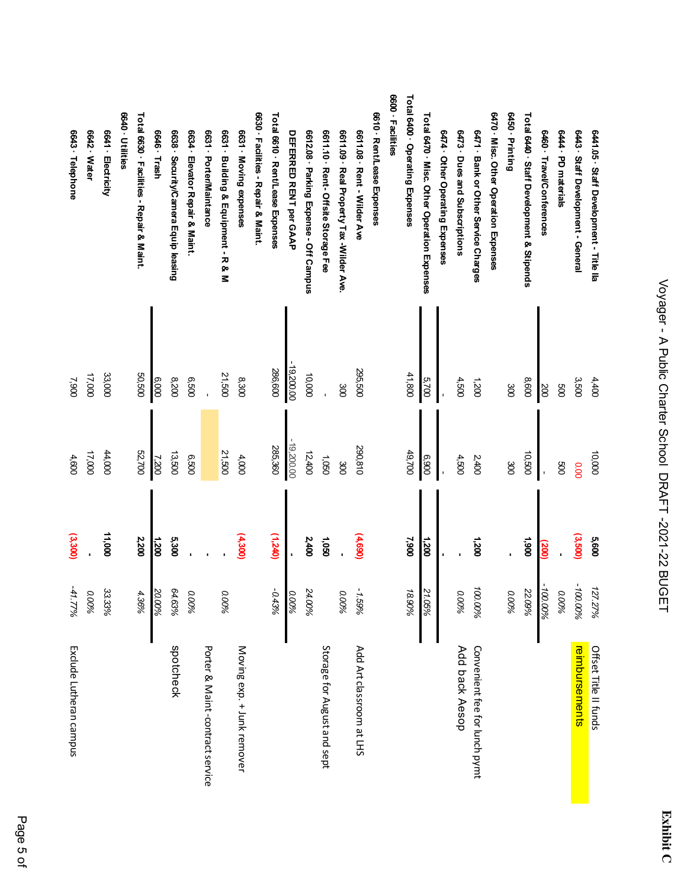| 6643 · Telephone        | 6642 Water | 6641 · Electricity | 6640 · Utilities | Total 6630 · Facilities - Repair & Maint. | 6646 Trash | 6638 · Security/Camera Equip leasing | 6634 · Elevator Repair & Maint. | 6631 · Porter/Maintance         | 6631 · Building & Equipment - R & M | 6631 · Moving expenses     | 6630 · Facilities - Repair & Maint. | Total 6610 · Rent/Lease Expenses | <b>DEFERRED RENT per GAAP</b> | 6612.08 Parking Expense - Off Campus | 6611.10 · Rent - Offsite Storage Fee | 6611.09 · Real Property Tax -Wilder Ave. | 6611.08 · Rent - Wilder Ave | 6610 · Rent/Lease Expenses | 6600 - Facilities | Total 6400 · Operating Expenses | Total 6470 · Misc. Other Operation Expenses | 6474 Other Operating Expenses | 6473 Dues and Subscriptions | 6471 Bank or Other Service Charges | 6470 · Misc. Other Operation Expenses | 6450 Printing | Total 6440 Staff Development & Stipends | 6460 · Travel/Conferences | 644 · PD materials | 6443 Staff Development - General | 6441.05 · Staff Development - Title lla |
|-------------------------|------------|--------------------|------------------|-------------------------------------------|------------|--------------------------------------|---------------------------------|---------------------------------|-------------------------------------|----------------------------|-------------------------------------|----------------------------------|-------------------------------|--------------------------------------|--------------------------------------|------------------------------------------|-----------------------------|----------------------------|-------------------|---------------------------------|---------------------------------------------|-------------------------------|-----------------------------|------------------------------------|---------------------------------------|---------------|-----------------------------------------|---------------------------|--------------------|----------------------------------|-----------------------------------------|
| 7,900                   | 17,000     | 33,000             |                  | 50,500                                    | 6,000      | 0028                                 | 009'9                           |                                 | 21,500                              | 8,300                      |                                     | 286,600                          | $-19,200.00$                  | 10,000                               |                                      | 300                                      | 295,500                     |                            |                   | 41,800                          | 5,700                                       |                               | 4,500                       | 1,200                              |                                       | 300           | 8,600                                   | 200                       | $_{\rm 00}$        | 3,500                            | 4,400                                   |
| 4,600                   | 17,000     | 44,000             |                  | 52,700                                    | 7,200      | 13,500                               | 0250                            |                                 | 21,500                              | 4,000                      |                                     | 285,360                          | $-19,200.00$                  | 12,400                               | 0901                                 | 300                                      | 290,810                     |                            |                   | 49,700                          | 006'9                                       |                               | 4,500                       | 2,400                              |                                       | $\infty$      | 10,500                                  |                           | 009                | 0.00                             | 000'01                                  |
| (3,300)                 |            | 11,000             |                  | 2,200                                     | 1,200      | 5,300                                |                                 |                                 |                                     | (4,300)                    |                                     | (1,240)                          |                               | 2,400                                | 1,050                                |                                          | (4,690)                     |                            |                   | 7,900                           | 1,200                                       |                               |                             | 1,200                              |                                       |               | 1,900                                   | (200)                     |                    | (3,500)                          | 5,600                                   |
| -41.77%                 | 0.00%      | 33.33%             |                  | 4.36%                                     | 20.00%     | 64.63%                               | 0.00%                           |                                 | 0.00%                               |                            |                                     | $-0.43%$                         | 0.00%                         | 24.00%                               |                                      | 0.00%                                    | 1.59%                       |                            |                   | 18.90%                          | 21.05%                                      |                               | 0.00%                       | 100.00%                            |                                       | 0.00%         | 22.09%                                  | -100.00%                  | 0.00%              | -100.00%                         | 127.27%                                 |
| Exclude Lutheran campus |            |                    |                  |                                           |            | spotcheck                            |                                 | Porter & Maint-contract service |                                     | Moving exp. + Junk remover |                                     |                                  |                               |                                      | Storage for August and sept          |                                          | Add Art classroom at LHS    |                            |                   |                                 |                                             |                               | Add back Aesop              | Convenient fee for lunch pymt      |                                       |               |                                         |                           |                    | reimbursements                   | Offset Title II funds                   |